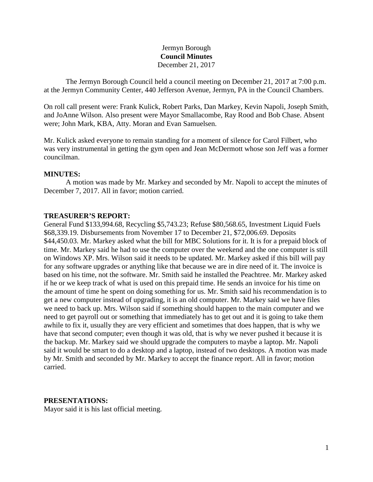### Jermyn Borough **Council Minutes** December 21, 2017

The Jermyn Borough Council held a council meeting on December 21, 2017 at 7:00 p.m. at the Jermyn Community Center, 440 Jefferson Avenue, Jermyn, PA in the Council Chambers.

On roll call present were: Frank Kulick, Robert Parks, Dan Markey, Kevin Napoli, Joseph Smith, and JoAnne Wilson. Also present were Mayor Smallacombe, Ray Rood and Bob Chase. Absent were; John Mark, KBA, Atty. Moran and Evan Samuelsen.

Mr. Kulick asked everyone to remain standing for a moment of silence for Carol Filbert, who was very instrumental in getting the gym open and Jean McDermott whose son Jeff was a former councilman.

#### **MINUTES:**

A motion was made by Mr. Markey and seconded by Mr. Napoli to accept the minutes of December 7, 2017. All in favor; motion carried.

#### **TREASURER'S REPORT:**

General Fund \$133,994.68, Recycling \$5,743.23; Refuse \$80,568.65, Investment Liquid Fuels \$68,339.19. Disbursements from November 17 to December 21, \$72,006.69. Deposits \$44,450.03. Mr. Markey asked what the bill for MBC Solutions for it. It is for a prepaid block of time. Mr. Markey said he had to use the computer over the weekend and the one computer is still on Windows XP. Mrs. Wilson said it needs to be updated. Mr. Markey asked if this bill will pay for any software upgrades or anything like that because we are in dire need of it. The invoice is based on his time, not the software. Mr. Smith said he installed the Peachtree. Mr. Markey asked if he or we keep track of what is used on this prepaid time. He sends an invoice for his time on the amount of time he spent on doing something for us. Mr. Smith said his recommendation is to get a new computer instead of upgrading, it is an old computer. Mr. Markey said we have files we need to back up. Mrs. Wilson said if something should happen to the main computer and we need to get payroll out or something that immediately has to get out and it is going to take them awhile to fix it, usually they are very efficient and sometimes that does happen, that is why we have that second computer; even though it was old, that is why we never pushed it because it is the backup. Mr. Markey said we should upgrade the computers to maybe a laptop. Mr. Napoli said it would be smart to do a desktop and a laptop, instead of two desktops. A motion was made by Mr. Smith and seconded by Mr. Markey to accept the finance report. All in favor; motion carried.

#### **PRESENTATIONS:**

Mayor said it is his last official meeting.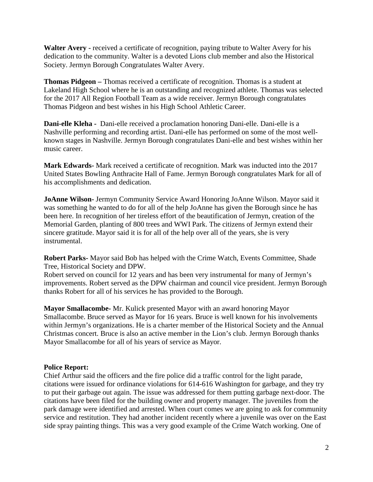**Walter Avery -** received a certificate of recognition, paying tribute to Walter Avery for his dedication to the community. Walter is a devoted Lions club member and also the Historical Society. Jermyn Borough Congratulates Walter Avery.

**Thomas Pidgeon –** Thomas received a certificate of recognition. Thomas is a student at Lakeland High School where he is an outstanding and recognized athlete. Thomas was selected for the 2017 All Region Football Team as a wide receiver. Jermyn Borough congratulates Thomas Pidgeon and best wishes in his High School Athletic Career.

**Dani-elle Kleha -** Dani-elle received a proclamation honoring Dani-elle. Dani-elle is a Nashville performing and recording artist. Dani-elle has performed on some of the most wellknown stages in Nashville. Jermyn Borough congratulates Dani-elle and best wishes within her music career.

**Mark Edwards-** Mark received a certificate of recognition. Mark was inducted into the 2017 United States Bowling Anthracite Hall of Fame. Jermyn Borough congratulates Mark for all of his accomplishments and dedication.

**JoAnne Wilson-** Jermyn Community Service Award Honoring JoAnne Wilson. Mayor said it was something he wanted to do for all of the help JoAnne has given the Borough since he has been here. In recognition of her tireless effort of the beautification of Jermyn, creation of the Memorial Garden, planting of 800 trees and WWI Park. The citizens of Jermyn extend their sincere gratitude. Mayor said it is for all of the help over all of the years, she is very instrumental.

**Robert Parks-** Mayor said Bob has helped with the Crime Watch, Events Committee, Shade Tree, Historical Society and DPW.

Robert served on council for 12 years and has been very instrumental for many of Jermyn's improvements. Robert served as the DPW chairman and council vice president. Jermyn Borough thanks Robert for all of his services he has provided to the Borough.

**Mayor Smallacombe-** Mr. Kulick presented Mayor with an award honoring Mayor Smallacombe. Bruce served as Mayor for 16 years. Bruce is well known for his involvements within Jermyn's organizations. He is a charter member of the Historical Society and the Annual Christmas concert. Bruce is also an active member in the Lion's club. Jermyn Borough thanks Mayor Smallacombe for all of his years of service as Mayor.

### **Police Report:**

Chief Arthur said the officers and the fire police did a traffic control for the light parade, citations were issued for ordinance violations for 614-616 Washington for garbage, and they try to put their garbage out again. The issue was addressed for them putting garbage next-door. The citations have been filed for the building owner and property manager. The juveniles from the park damage were identified and arrested. When court comes we are going to ask for community service and restitution. They had another incident recently where a juvenile was over on the East side spray painting things. This was a very good example of the Crime Watch working. One of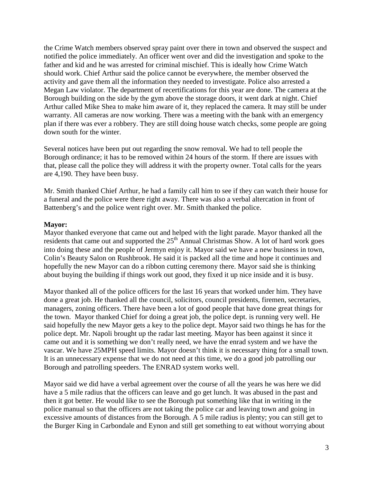the Crime Watch members observed spray paint over there in town and observed the suspect and notified the police immediately. An officer went over and did the investigation and spoke to the father and kid and he was arrested for criminal mischief. This is ideally how Crime Watch should work. Chief Arthur said the police cannot be everywhere, the member observed the activity and gave them all the information they needed to investigate. Police also arrested a Megan Law violator. The department of recertifications for this year are done. The camera at the Borough building on the side by the gym above the storage doors, it went dark at night. Chief Arthur called Mike Shea to make him aware of it, they replaced the camera. It may still be under warranty. All cameras are now working. There was a meeting with the bank with an emergency plan if there was ever a robbery. They are still doing house watch checks, some people are going down south for the winter.

Several notices have been put out regarding the snow removal. We had to tell people the Borough ordinance; it has to be removed within 24 hours of the storm. If there are issues with that, please call the police they will address it with the property owner. Total calls for the years are 4,190. They have been busy.

Mr. Smith thanked Chief Arthur, he had a family call him to see if they can watch their house for a funeral and the police were there right away. There was also a verbal altercation in front of Battenberg's and the police went right over. Mr. Smith thanked the police.

### **Mayor:**

Mayor thanked everyone that came out and helped with the light parade. Mayor thanked all the residents that came out and supported the  $25<sup>th</sup>$  Annual Christmas Show. A lot of hard work goes into doing these and the people of Jermyn enjoy it. Mayor said we have a new business in town, Colin's Beauty Salon on Rushbrook. He said it is packed all the time and hope it continues and hopefully the new Mayor can do a ribbon cutting ceremony there. Mayor said she is thinking about buying the building if things work out good, they fixed it up nice inside and it is busy.

Mayor thanked all of the police officers for the last 16 years that worked under him. They have done a great job. He thanked all the council, solicitors, council presidents, firemen, secretaries, managers, zoning officers. There have been a lot of good people that have done great things for the town. Mayor thanked Chief for doing a great job, the police dept. is running very well. He said hopefully the new Mayor gets a key to the police dept. Mayor said two things he has for the police dept. Mr. Napoli brought up the radar last meeting. Mayor has been against it since it came out and it is something we don't really need, we have the enrad system and we have the vascar. We have 25MPH speed limits. Mayor doesn't think it is necessary thing for a small town. It is an unnecessary expense that we do not need at this time, we do a good job patrolling our Borough and patrolling speeders. The ENRAD system works well.

Mayor said we did have a verbal agreement over the course of all the years he was here we did have a 5 mile radius that the officers can leave and go get lunch. It was abused in the past and then it got better. He would like to see the Borough put something like that in writing in the police manual so that the officers are not taking the police car and leaving town and going in excessive amounts of distances from the Borough. A 5 mile radius is plenty; you can still get to the Burger King in Carbondale and Eynon and still get something to eat without worrying about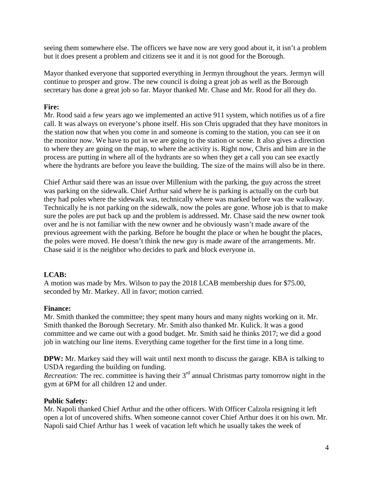seeing them somewhere else. The officers we have now are very good about it, it isn't a problem but it does present a problem and citizens see it and it is not good for the Borough.

Mayor thanked everyone that supported everything in Jermyn throughout the years. Jermyn will continue to prosper and grow. The new council is doing a great job as well as the Borough secretary has done a great job so far. Mayor thanked Mr. Chase and Mr. Rood for all they do.

## **Fire:**

Mr. Rood said a few years ago we implemented an active 911 system, which notifies us of a fire call. It was always on everyone's phone itself. His son Chris upgraded that they have monitors in the station now that when you come in and someone is coming to the station, you can see it on the monitor now. We have to put in we are going to the station or scene. It also gives a direction to where they are going on the map, to where the activity is. Right now, Chris and him are in the process are putting in where all of the hydrants are so when they get a call you can see exactly where the hydrants are before you leave the building. The size of the mains will also be in there.

Chief Arthur said there was an issue over Millenium with the parking, the guy across the street was parking on the sidewalk. Chief Arthur said where he is parking is actually on the curb but they had poles where the sidewalk was, technically where was marked before was the walkway. Technically he is not parking on the sidewalk, now the poles are gone. Whose job is that to make sure the poles are put back up and the problem is addressed. Mr. Chase said the new owner took over and he is not familiar with the new owner and he obviously wasn't made aware of the previous agreement with the parking. Before he bought the place or when he bought the places, the poles were moved. He doesn't think the new guy is made aware of the arrangements. Mr. Chase said it is the neighbor who decides to park and block everyone in.

### **LCAB:**

A motion was made by Mrs. Wilson to pay the 2018 LCAB membership dues for \$75.00, seconded by Mr. Markey. All in favor; motion carried.

### **Finance:**

Mr. Smith thanked the committee; they spent many hours and many nights working on it. Mr. Smith thanked the Borough Secretary. Mr. Smith also thanked Mr. Kulick. It was a good committee and we came out with a good budget. Mr. Smith said he thinks 2017; we did a good job in watching our line items. Everything came together for the first time in a long time.

**DPW:** Mr. Markey said they will wait until next month to discuss the garage. KBA is talking to USDA regarding the building on funding.

*Recreation:* The rec. committee is having their 3<sup>rd</sup> annual Christmas party tomorrow night in the gym at 6PM for all children 12 and under.

### **Public Safety:**

Mr. Napoli thanked Chief Arthur and the other officers. With Officer Calzola resigning it left open a lot of uncovered shifts. When someone cannot cover Chief Arthur does it on his own. Mr. Napoli said Chief Arthur has 1 week of vacation left which he usually takes the week of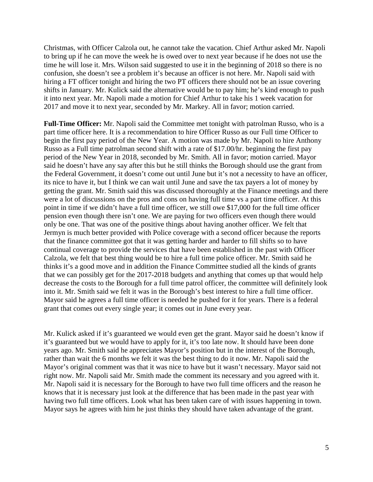Christmas, with Officer Calzola out, he cannot take the vacation. Chief Arthur asked Mr. Napoli to bring up if he can move the week he is owed over to next year because if he does not use the time he will lose it. Mrs. Wilson said suggested to use it in the beginning of 2018 so there is no confusion, she doesn't see a problem it's because an officer is not here. Mr. Napoli said with hiring a FT officer tonight and hiring the two PT officers there should not be an issue covering shifts in January. Mr. Kulick said the alternative would be to pay him; he's kind enough to push it into next year. Mr. Napoli made a motion for Chief Arthur to take his 1 week vacation for 2017 and move it to next year, seconded by Mr. Markey. All in favor; motion carried.

**Full-Time Officer:** Mr. Napoli said the Committee met tonight with patrolman Russo, who is a part time officer here. It is a recommendation to hire Officer Russo as our Full time Officer to begin the first pay period of the New Year. A motion was made by Mr. Napoli to hire Anthony Russo as a Full time patrolman second shift with a rate of \$17.00/hr. beginning the first pay period of the New Year in 2018, seconded by Mr. Smith. All in favor; motion carried. Mayor said he doesn't have any say after this but he still thinks the Borough should use the grant from the Federal Government, it doesn't come out until June but it's not a necessity to have an officer, its nice to have it, but I think we can wait until June and save the tax payers a lot of money by getting the grant. Mr. Smith said this was discussed thoroughly at the Finance meetings and there were a lot of discussions on the pros and cons on having full time vs a part time officer. At this point in time if we didn't have a full time officer, we still owe \$17,000 for the full time officer pension even though there isn't one. We are paying for two officers even though there would only be one. That was one of the positive things about having another officer. We felt that Jermyn is much better provided with Police coverage with a second officer because the reports that the finance committee got that it was getting harder and harder to fill shifts so to have continual coverage to provide the services that have been established in the past with Officer Calzola, we felt that best thing would be to hire a full time police officer. Mr. Smith said he thinks it's a good move and in addition the Finance Committee studied all the kinds of grants that we can possibly get for the 2017-2018 budgets and anything that comes up that would help decrease the costs to the Borough for a full time patrol officer, the committee will definitely look into it. Mr. Smith said we felt it was in the Borough's best interest to hire a full time officer. Mayor said he agrees a full time officer is needed he pushed for it for years. There is a federal grant that comes out every single year; it comes out in June every year.

Mr. Kulick asked if it's guaranteed we would even get the grant. Mayor said he doesn't know if it's guaranteed but we would have to apply for it, it's too late now. It should have been done years ago. Mr. Smith said he appreciates Mayor's position but in the interest of the Borough, rather than wait the 6 months we felt it was the best thing to do it now. Mr. Napoli said the Mayor's original comment was that it was nice to have but it wasn't necessary. Mayor said not right now. Mr. Napoli said Mr. Smith made the comment its necessary and you agreed with it. Mr. Napoli said it is necessary for the Borough to have two full time officers and the reason he knows that it is necessary just look at the difference that has been made in the past year with having two full time officers. Look what has been taken care of with issues happening in town. Mayor says he agrees with him he just thinks they should have taken advantage of the grant.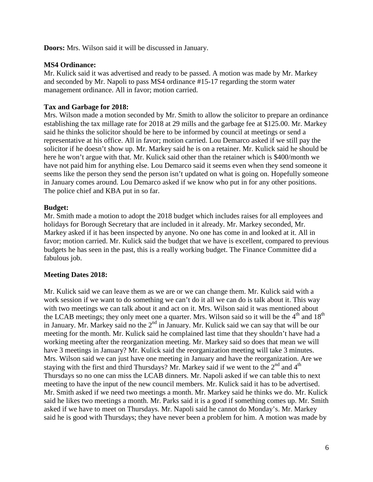**Doors:** Mrs. Wilson said it will be discussed in January.

### **MS4 Ordinance:**

Mr. Kulick said it was advertised and ready to be passed. A motion was made by Mr. Markey and seconded by Mr. Napoli to pass MS4 ordinance #15-17 regarding the storm water management ordinance. All in favor; motion carried.

## **Tax and Garbage for 2018:**

Mrs. Wilson made a motion seconded by Mr. Smith to allow the solicitor to prepare an ordinance establishing the tax millage rate for 2018 at 29 mills and the garbage fee at \$125.00. Mr. Markey said he thinks the solicitor should be here to be informed by council at meetings or send a representative at his office. All in favor; motion carried. Lou Demarco asked if we still pay the solicitor if he doesn't show up. Mr. Markey said he is on a retainer. Mr. Kulick said he should be here he won't argue with that. Mr. Kulick said other than the retainer which is \$400/month we have not paid him for anything else. Lou Demarco said it seems even when they send someone it seems like the person they send the person isn't updated on what is going on. Hopefully someone in January comes around. Lou Demarco asked if we know who put in for any other positions. The police chief and KBA put in so far.

# **Budget:**

Mr. Smith made a motion to adopt the 2018 budget which includes raises for all employees and holidays for Borough Secretary that are included in it already. Mr. Markey seconded, Mr. Markey asked if it has been inspected by anyone. No one has come in and looked at it. All in favor; motion carried. Mr. Kulick said the budget that we have is excellent, compared to previous budgets he has seen in the past, this is a really working budget. The Finance Committee did a fabulous job.

# **Meeting Dates 2018:**

Mr. Kulick said we can leave them as we are or we can change them. Mr. Kulick said with a work session if we want to do something we can't do it all we can do is talk about it. This way with two meetings we can talk about it and act on it. Mrs. Wilson said it was mentioned about the LCAB meetings; they only meet one a quarter. Mrs. Wilson said so it will be the 4<sup>th</sup> and 18<sup>th</sup> in January. Mr. Markey said no the  $2<sup>nd</sup>$  in January. Mr. Kulick said we can say that will be our meeting for the month. Mr. Kulick said he complained last time that they shouldn't have had a working meeting after the reorganization meeting. Mr. Markey said so does that mean we will have 3 meetings in January? Mr. Kulick said the reorganization meeting will take 3 minutes. Mrs. Wilson said we can just have one meeting in January and have the reorganization. Are we staying with the first and third Thursdays? Mr. Markey said if we went to the  $2<sup>nd</sup>$  and  $4<sup>th</sup>$ Thursdays so no one can miss the LCAB dinners. Mr. Napoli asked if we can table this to next meeting to have the input of the new council members. Mr. Kulick said it has to be advertised. Mr. Smith asked if we need two meetings a month. Mr. Markey said he thinks we do. Mr. Kulick said he likes two meetings a month. Mr. Parks said it is a good if something comes up. Mr. Smith asked if we have to meet on Thursdays. Mr. Napoli said he cannot do Monday's. Mr. Markey said he is good with Thursdays; they have never been a problem for him. A motion was made by